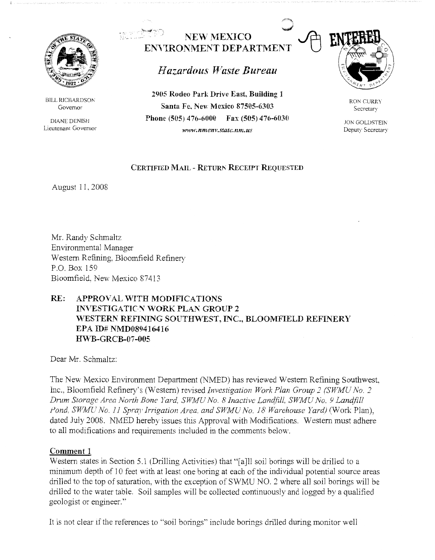

BILL RICHARDSON Governor

DIANE DENISl-1 Lieutenant Governor

# **NEW MEXICO EN\'IRONMENT DEPARTMENT**

# *Hazardous 1'Vaste Bureau*

**2905 Rodeo Park Drive East, Building l Santa Fe, New Mexico 87505-6303 Phone (505) 476-6000 Fax (505) 476-6030**  *ww11·.nmenv.statc.nm.us* 



RON CURRY Secretary

JON GOLDSTEIN Deputy Secretary

## **CERTIFIED MAIL - RETURN RECEIPT REQUESTED**

August 11, 2008

Mr. Randy Schmaltz Environmental Manager Western Refining, Bloomfield Refinery P.O. Box 159 Bloomfield, New Mexico 87413

## **RE: APPROVAL WITH MODIFICATIONS INVESTIGATIC-N WORK PLAN GROUP 2 ,vESTERN REFINING SOUTff\VEST, INC., BLOOMFIELD REFINERY EPA ID# NMD089416416 H\VB-GR CB-07-005**

Dear Mr. Schmaltz:

The New Mexico Environment Department (NMED) has reviewed Western Refining Southwest, Inc., Bloomfield Refinery's *(Western)* revised *Investigation Work Plan Group 2 (SWMU No. 2*) *Drum Storage Area North Bone Yard, SWMU No. 8 Inactive Landfill, SWMU No. 9 Landfill* Pond, SWMU No. 11 Spray Irrigation Area, and SWMU No. 18 Warehouse Yard) (Work Plan), dated July 2008. NMED hereby issues this Approval with Modifications. Western must adhere to all modifications and requirements included in the comments below.

## **Comment 1**

Western states in Section 5.1 (Drilling Activities) that "[a]ll soil borings will be drilled to a minimum depth of 10 feet with at least one boring at each of the individual potential source areas drilled to the top of saturation, with the exception of SWMU NO. 2 where all soil borings will be drilled to the water table. Soil samples will be collected continuously and logged by a qualified geologist or engineer.''

It is not clear if the references to "soil borings" include borings drilled during monitor well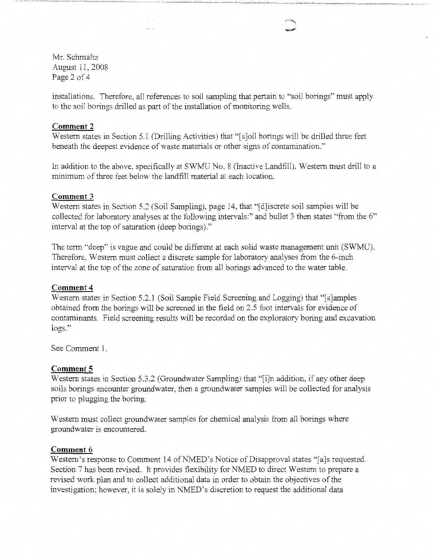Mr. Schmaltz August 11, 2008 Page 2 of 4

installations. Therefore, all references to soil sampling that pertain to "soil borings" must apply to the soil borings drilled as part of the installation of monitoring wells.

### **Comment 2**

Western states in Section 5.1 (Drilling Activities) that "[s]oil borings will be drilled three feet beneath the deepest evidence of waste materials or other signs of contamination."

In addition to the above, specifically at SWMU No. 8 (Inactive Landfill), Western must drill to a minimum of three feet below the landfill material at each location.

### **Comment 3**

Western states in Section 5.2 (Soil Sampling), page 14, that "[d]iscrete soil samples will be collected for laboratory analyses at the following intervals:" and bullet 3 then states "from the 6" interval at the top of saturation ( deep borings)."

The term "deep" is vague and could be different at each solid waste management unit (SWMU). Therefore, Western must collect a discrete sample for laboratory analyses from the 6-inch interval at the top of the zone of saturation from all borings advanced to the water table.

#### **Comment4**

Western states in Section 5.2.1 (Soil Sample Field Screening and Logging) that "[s]amples obtained from the borings will be screened in the field on 2.5 foot intervals for evidence of contaminants. Field screening results will be recorded on the exploratory boring and excavation logs."

See Comment 1.

#### **Comment 5**

Western states in Section 5.3.2 (Groundwater Sampling) that "[i]n addition, if any other deep soils borings encounter groundwater, then a groundwater samples will be collected for analysis prior to plugging the boring.

Western must collect groundwater samples for chemical analysis from all borings where groundwater is encountered.

#### **Comment 6**

Western's response to Comment 14 of NMED's Notice of Disapproval states "[a]s requested. Section 7 has been revised. It provides flexibility for NMED to direct Western to prepare a revised work plan and to collect additional data in order to obtain the objectives of the investigation; however, it is solely in NMED's discretion to request the additional data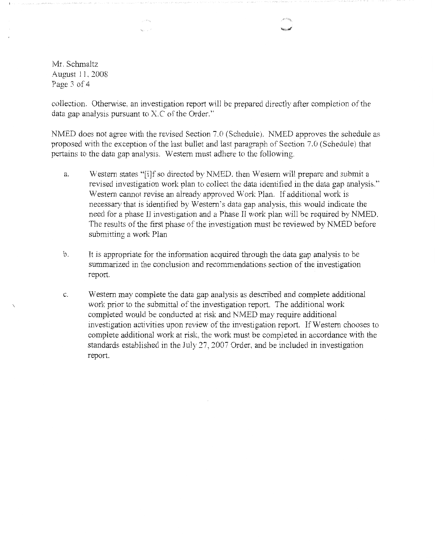Mr. Schmaltz August 11, 2008 Page 3 of 4

collection. Otherwise. an investigation report will be prepared directly after completion of the data gap analysis pursuant to X.C of the Order."

NMED does not agree with the revised Section 7.0 (Schedule). NMED approves the schedule as proposed with the exception of the last bullet and last paragraph of Section 7.0 (Schedule) that pertains to the data gap analysis. Western must adhere to the following.

- a. Western states "[i]f so directed by NMED. then Western will prepare and submit a revised investigation work plan to collect the data identified in the data gap analysis.'' Western cannot revise an already approved Work Plan. If additional work is necessary that is identified by Western's data gap analysis, this would indicate the need for a phase II investigation and a Phase II work plan will be required by NMED. The results of the first phase of the investigation must be reviewed by NMED before submitting a work Plan
- b. It is appropriate for the information acquired through the data gap analysis to be summarized in the conclusion and recommendations section of the investigation report.
- c. Western may complete the data gap analysis as described and complete additional work prior to the submittal of the investigation report. The additional work completed would be conducted at risk and NMED may require additional investigation activities upon review of the investigation report. If Western chooses to complete additional work at risk, the work must be completed in accordance with the standards established in the July 27, 2007 Order, and be included in investigation report.